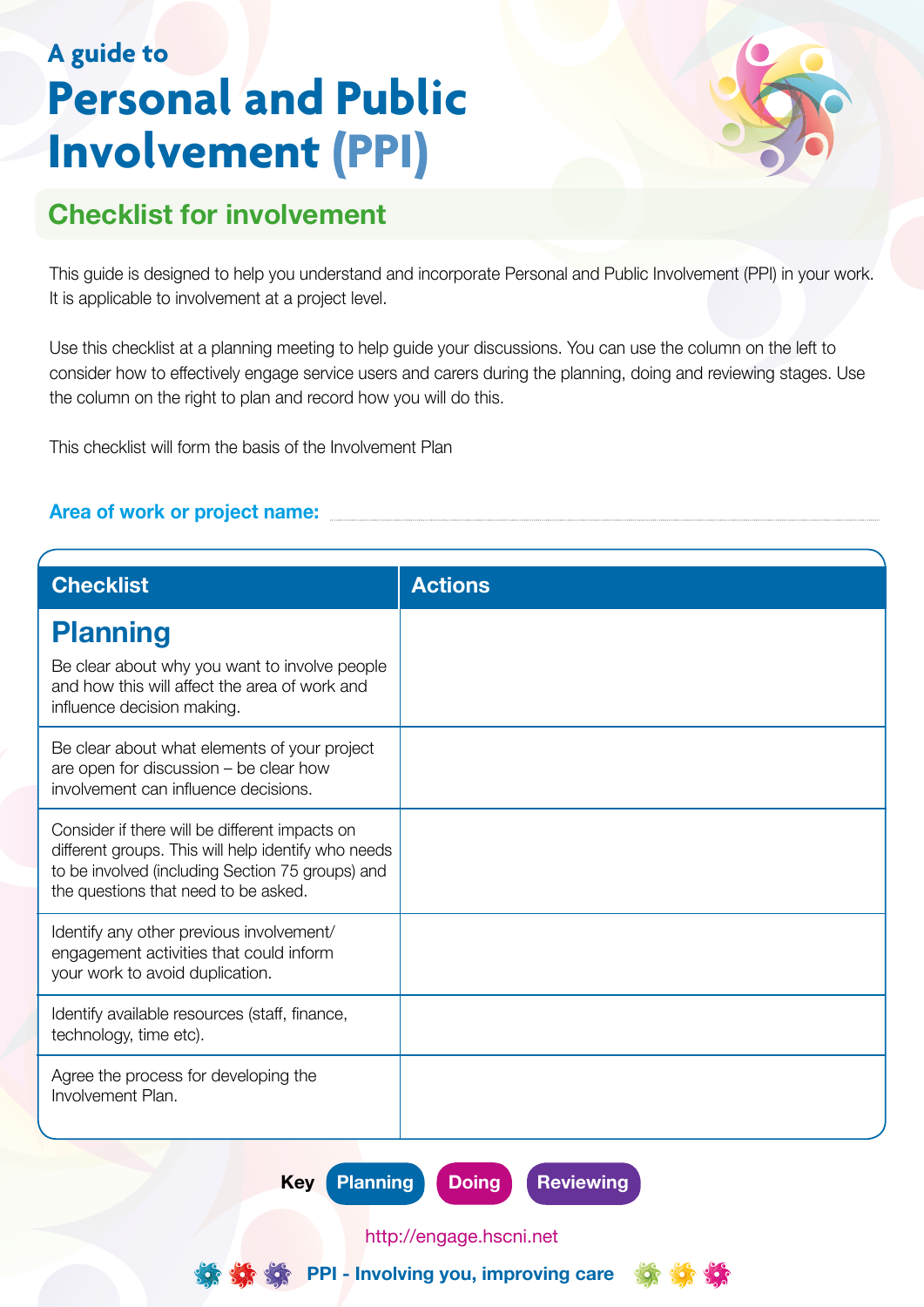## **A guide to Personal and Public Involvement (PPI)**



## **Checklist for involvement**

This guide is designed to help you understand and incorporate Personal and Public Involvement (PPI) in your work. It is applicable to involvement at a project level.

Use this checklist at a planning meeting to help guide your discussions. You can use the column on the left to consider how to effectively engage service users and carers during the planning, doing and reviewing stages. Use the column on the right to plan and record how you will do this.

This checklist will form the basis of the Involvement Plan

## **Area of work or project name:**

| <b>Checklist</b>                                                                                                                                                                                  | <b>Actions</b> |
|---------------------------------------------------------------------------------------------------------------------------------------------------------------------------------------------------|----------------|
| <b>Planning</b>                                                                                                                                                                                   |                |
| Be clear about why you want to involve people<br>and how this will affect the area of work and<br>influence decision making.                                                                      |                |
| Be clear about what elements of your project<br>are open for discussion - be clear how<br>involvement can influence decisions.                                                                    |                |
| Consider if there will be different impacts on<br>different groups. This will help identify who needs<br>to be involved (including Section 75 groups) and<br>the questions that need to be asked. |                |
| Identify any other previous involvement/<br>engagement activities that could inform<br>your work to avoid duplication.                                                                            |                |
| Identify available resources (staff, finance,<br>technology, time etc).                                                                                                                           |                |
| Agree the process for developing the<br>Involvement Plan.                                                                                                                                         |                |

**Key Planning Doing Reviewing** 

http://engage.hscni.net



**PPI - Involving you, improving care**